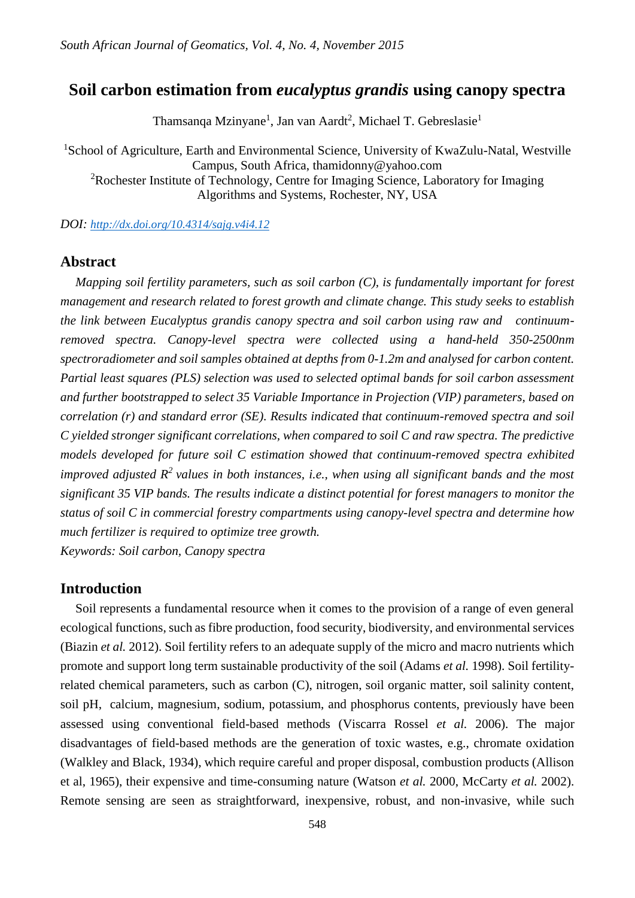# **Soil carbon estimation from** *eucalyptus grandis* **using canopy spectra**

Thamsanqa Mzinyane<sup>1</sup>, Jan van Aardt<sup>2</sup>, Michael T. Gebreslasie<sup>1</sup>

<sup>1</sup>School of Agriculture, Earth and Environmental Science, University of KwaZulu-Natal, Westville Campus, South Africa, thamidonny@yahoo.com

<sup>2</sup>Rochester Institute of Technology, Centre for Imaging Science, Laboratory for Imaging Algorithms and Systems, Rochester, NY, USA

*DOI: [http://dx.doi.org/10.4314/sajg.v4i4.12](http://dx.doi.org/10.4314/sajg.v4i4.10)*

# **Abstract**

*Mapping soil fertility parameters, such as soil carbon (C), is fundamentally important for forest management and research related to forest growth and climate change. This study seeks to establish the link between Eucalyptus grandis canopy spectra and soil carbon using raw and continuumremoved spectra. Canopy-level spectra were collected using a hand-held 350-2500nm spectroradiometer and soil samples obtained at depths from 0-1.2m and analysed for carbon content. Partial least squares (PLS) selection was used to selected optimal bands for soil carbon assessment and further bootstrapped to select 35 Variable Importance in Projection (VIP) parameters, based on correlation (r) and standard error (SE). Results indicated that continuum-removed spectra and soil C yielded stronger significant correlations, when compared to soil C and raw spectra. The predictive models developed for future soil C estimation showed that continuum-removed spectra exhibited improved adjusted*  $R^2$  *values in both instances, i.e., when using all significant bands and the most significant 35 VIP bands. The results indicate a distinct potential for forest managers to monitor the status of soil C in commercial forestry compartments using canopy-level spectra and determine how much fertilizer is required to optimize tree growth.*

*Keywords: Soil carbon, Canopy spectra*

# **Introduction**

Soil represents a fundamental resource when it comes to the provision of a range of even general ecological functions, such as fibre production, food security, biodiversity, and environmental services (Biazin *et al.* 2012). Soil fertility refers to an adequate supply of the micro and macro nutrients which promote and support long term sustainable productivity of the soil (Adams *et al.* 1998). Soil fertilityrelated chemical parameters, such as carbon (C), nitrogen, soil organic matter, soil salinity content, soil pH, calcium, magnesium, sodium, potassium, and phosphorus contents, previously have been assessed using conventional field-based methods (Viscarra Rossel *et al.* 2006). The major disadvantages of field-based methods are the generation of toxic wastes, e.g., chromate oxidation (Walkley and Black, 1934), which require careful and proper disposal, combustion products (Allison et al, 1965), their expensive and time-consuming nature (Watson *et al.* 2000, McCarty *et al.* 2002). Remote sensing are seen as straightforward, inexpensive, robust, and non-invasive, while such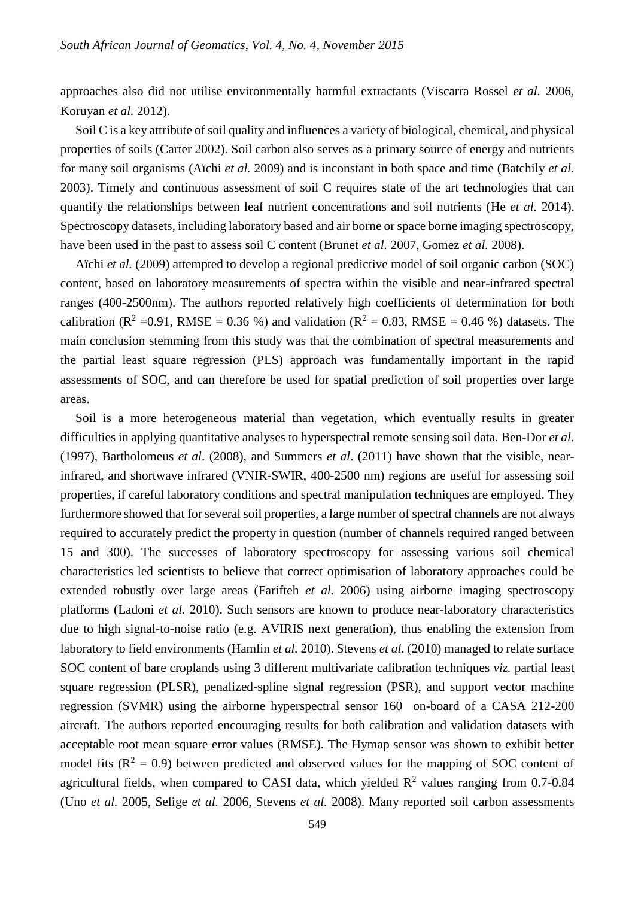approaches also did not utilise environmentally harmful extractants (Viscarra Rossel *et al.* 2006, Koruyan *et al.* 2012).

Soil C is a key attribute of soil quality and influences a variety of biological, chemical, and physical properties of soils (Carter 2002). Soil carbon also serves as a primary source of energy and nutrients for many soil organisms (Aïchi *et al.* 2009) and is inconstant in both space and time (Batchily *et al.* 2003). Timely and continuous assessment of soil C requires state of the art technologies that can quantify the relationships between leaf nutrient concentrations and soil nutrients (He *et al.* 2014). Spectroscopy datasets, including laboratory based and air borne or space borne imaging spectroscopy, have been used in the past to assess soil C content (Brunet *et al.* 2007, Gomez *et al.* 2008).

Aïchi *et al.* (2009) attempted to develop a regional predictive model of soil organic carbon (SOC) content, based on laboratory measurements of spectra within the visible and near-infrared spectral ranges (400-2500nm). The authors reported relatively high coefficients of determination for both calibration ( $R^2$  =0.91, RMSE = 0.36 %) and validation ( $R^2$  = 0.83, RMSE = 0.46 %) datasets. The main conclusion stemming from this study was that the combination of spectral measurements and the partial least square regression (PLS) approach was fundamentally important in the rapid assessments of SOC, and can therefore be used for spatial prediction of soil properties over large areas.

Soil is a more heterogeneous material than vegetation, which eventually results in greater difficulties in applying quantitative analyses to hyperspectral remote sensing soil data. Ben-Dor *et al*. (1997), Bartholomeus *et al*. (2008), and Summers *et al*. (2011) have shown that the visible, nearinfrared, and shortwave infrared (VNIR-SWIR, 400-2500 nm) regions are useful for assessing soil properties, if careful laboratory conditions and spectral manipulation techniques are employed. They furthermore showed that for several soil properties, a large number of spectral channels are not always required to accurately predict the property in question (number of channels required ranged between 15 and 300). The successes of laboratory spectroscopy for assessing various soil chemical characteristics led scientists to believe that correct optimisation of laboratory approaches could be extended robustly over large areas (Farifteh *et al.* 2006) using airborne imaging spectroscopy platforms (Ladoni *et al.* 2010). Such sensors are known to produce near-laboratory characteristics due to high signal-to-noise ratio (e.g. AVIRIS next generation), thus enabling the extension from laboratory to field environments (Hamlin *et al.* 2010). Stevens *et al.* (2010) managed to relate surface SOC content of bare croplands using 3 different multivariate calibration techniques *viz.* partial least square regression (PLSR), penalized-spline signal regression (PSR), and support vector machine regression (SVMR) using the airborne hyperspectral sensor 160 on-board of a CASA 212-200 aircraft. The authors reported encouraging results for both calibration and validation datasets with acceptable root mean square error values (RMSE). The Hymap sensor was shown to exhibit better model fits  $(R^2 = 0.9)$  between predicted and observed values for the mapping of SOC content of agricultural fields, when compared to CASI data, which yielded  $\mathbb{R}^2$  values ranging from 0.7-0.84 (Uno *et al.* 2005, Selige *et al.* 2006, Stevens *et al.* 2008). Many reported soil carbon assessments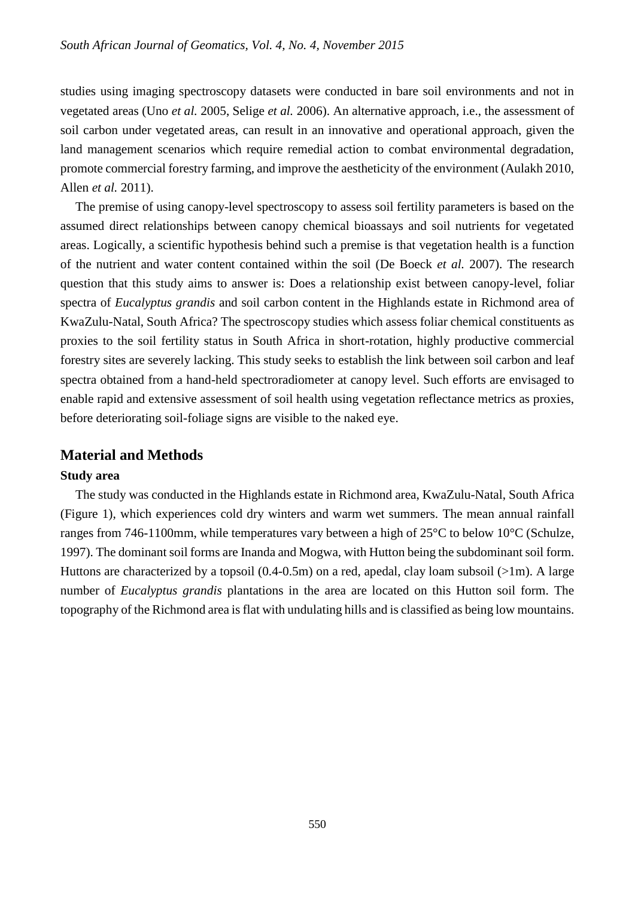studies using imaging spectroscopy datasets were conducted in bare soil environments and not in vegetated areas (Uno *et al.* 2005, Selige *et al.* 2006). An alternative approach, i.e., the assessment of soil carbon under vegetated areas, can result in an innovative and operational approach, given the land management scenarios which require remedial action to combat environmental degradation, promote commercial forestry farming, and improve the aestheticity of the environment (Aulakh 2010, Allen *et al.* 2011).

The premise of using canopy-level spectroscopy to assess soil fertility parameters is based on the assumed direct relationships between canopy chemical bioassays and soil nutrients for vegetated areas. Logically, a scientific hypothesis behind such a premise is that vegetation health is a function of the nutrient and water content contained within the soil (De Boeck *et al.* 2007). The research question that this study aims to answer is: Does a relationship exist between canopy-level, foliar spectra of *Eucalyptus grandis* and soil carbon content in the Highlands estate in Richmond area of KwaZulu-Natal, South Africa? The spectroscopy studies which assess foliar chemical constituents as proxies to the soil fertility status in South Africa in short-rotation, highly productive commercial forestry sites are severely lacking. This study seeks to establish the link between soil carbon and leaf spectra obtained from a hand-held spectroradiometer at canopy level. Such efforts are envisaged to enable rapid and extensive assessment of soil health using vegetation reflectance metrics as proxies, before deteriorating soil-foliage signs are visible to the naked eye.

# **Material and Methods**

#### **Study area**

The study was conducted in the Highlands estate in Richmond area, KwaZulu-Natal, South Africa (Figure 1), which experiences cold dry winters and warm wet summers. The mean annual rainfall ranges from 746-1100mm, while temperatures vary between a high of 25°C to below 10°C (Schulze, 1997). The dominant soil forms are Inanda and Mogwa, with Hutton being the subdominant soil form. Huttons are characterized by a topsoil (0.4-0.5m) on a red, apedal, clay loam subsoil (>1m). A large number of *Eucalyptus grandis* plantations in the area are located on this Hutton soil form. The topography of the Richmond area is flat with undulating hills and is classified as being low mountains.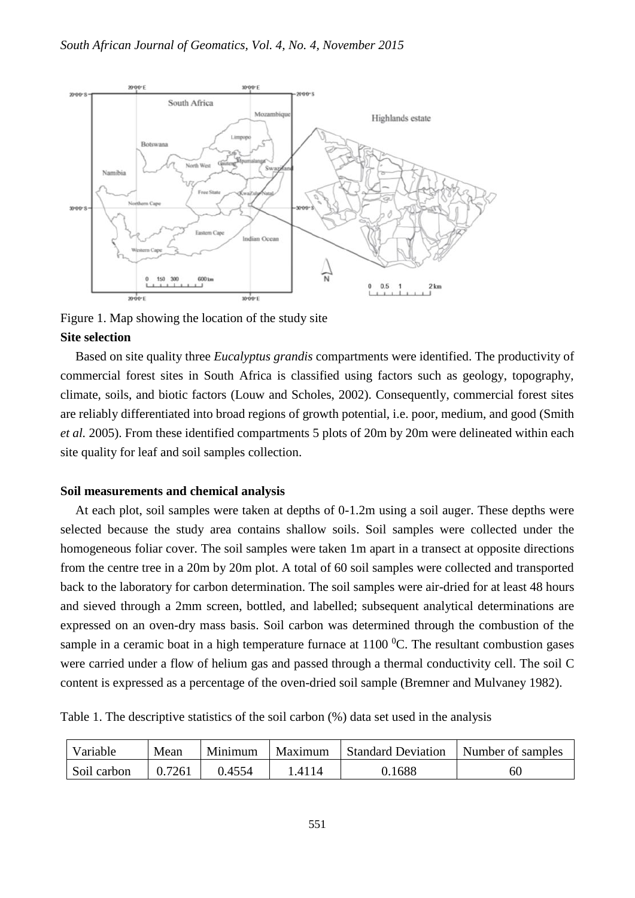

Figure 1. Map showing the location of the study site **Site selection**

Based on site quality three *Eucalyptus grandis* compartments were identified. The productivity of commercial forest sites in South Africa is classified using factors such as geology, topography, climate, soils, and biotic factors (Louw and Scholes, 2002). Consequently, commercial forest sites are reliably differentiated into broad regions of growth potential, i.e. poor, medium, and good (Smith *et al.* 2005). From these identified compartments 5 plots of 20m by 20m were delineated within each site quality for leaf and soil samples collection.

#### **Soil measurements and chemical analysis**

At each plot, soil samples were taken at depths of 0-1.2m using a soil auger. These depths were selected because the study area contains shallow soils. Soil samples were collected under the homogeneous foliar cover. The soil samples were taken 1m apart in a transect at opposite directions from the centre tree in a 20m by 20m plot. A total of 60 soil samples were collected and transported back to the laboratory for carbon determination. The soil samples were air-dried for at least 48 hours and sieved through a 2mm screen, bottled, and labelled; subsequent analytical determinations are expressed on an oven-dry mass basis. Soil carbon was determined through the combustion of the sample in a ceramic boat in a high temperature furnace at  $1100\degree$ C. The resultant combustion gases were carried under a flow of helium gas and passed through a thermal conductivity cell. The soil C content is expressed as a percentage of the oven-dried soil sample (Bremner and Mulvaney 1982).

Table 1. The descriptive statistics of the soil carbon (%) data set used in the analysis

| Variable    | Mean   | Minimum | Maximum | <b>Standard Deviation</b> | Number of samples |
|-------------|--------|---------|---------|---------------------------|-------------------|
| Soil carbon | ).7261 | ).4554  | 4114    | 0.1688                    | 60                |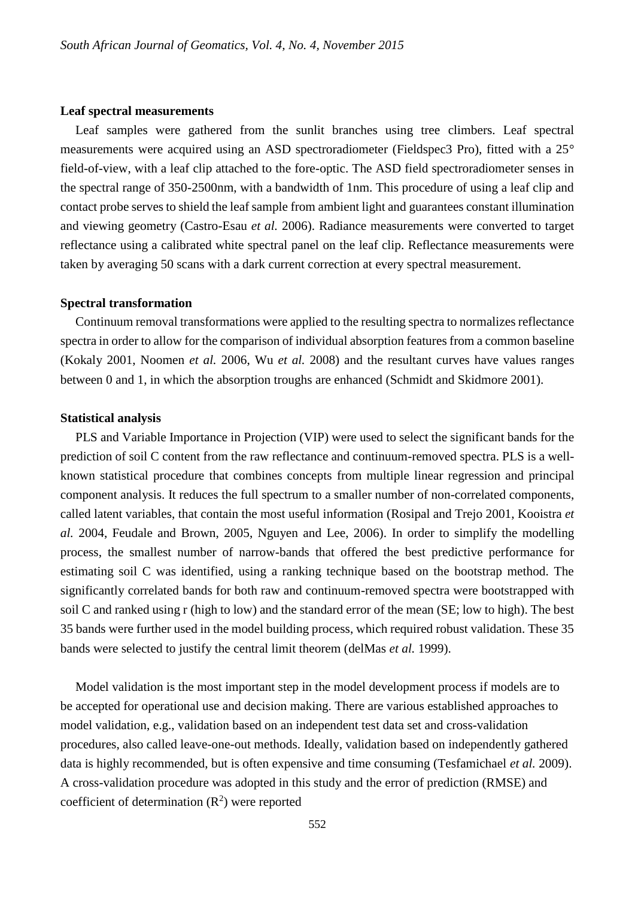#### **Leaf spectral measurements**

Leaf samples were gathered from the sunlit branches using tree climbers. Leaf spectral measurements were acquired using an ASD spectroradiometer (Fieldspec3 Pro), fitted with a 25° field-of-view, with a leaf clip attached to the fore-optic. The ASD field spectroradiometer senses in the spectral range of 350-2500nm, with a bandwidth of 1nm. This procedure of using a leaf clip and contact probe serves to shield the leaf sample from ambient light and guarantees constant illumination and viewing geometry (Castro-Esau *et al.* 2006). Radiance measurements were converted to target reflectance using a calibrated white spectral panel on the leaf clip. Reflectance measurements were taken by averaging 50 scans with a dark current correction at every spectral measurement.

#### **Spectral transformation**

Continuum removal transformations were applied to the resulting spectra to normalizes reflectance spectra in order to allow for the comparison of individual absorption features from a common baseline (Kokaly 2001, Noomen *et al.* 2006, Wu *et al.* 2008) and the resultant curves have values ranges between 0 and 1, in which the absorption troughs are enhanced (Schmidt and Skidmore 2001).

#### **Statistical analysis**

PLS and Variable Importance in Projection (VIP) were used to select the significant bands for the prediction of soil C content from the raw reflectance and continuum-removed spectra. PLS is a wellknown statistical procedure that combines concepts from multiple linear regression and principal component analysis. It reduces the full spectrum to a smaller number of non-correlated components, called latent variables, that contain the most useful information (Rosipal and Trejo 2001, Kooistra *et al.* 2004, Feudale and Brown, 2005, Nguyen and Lee, 2006). In order to simplify the modelling process, the smallest number of narrow-bands that offered the best predictive performance for estimating soil C was identified, using a ranking technique based on the bootstrap method. The significantly correlated bands for both raw and continuum-removed spectra were bootstrapped with soil C and ranked using r (high to low) and the standard error of the mean (SE; low to high). The best 35 bands were further used in the model building process, which required robust validation. These 35 bands were selected to justify the central limit theorem (delMas *et al.* 1999).

Model validation is the most important step in the model development process if models are to be accepted for operational use and decision making. There are various established approaches to model validation, e.g., validation based on an independent test data set and cross-validation procedures, also called leave-one-out methods. Ideally, validation based on independently gathered data is highly recommended, but is often expensive and time consuming (Tesfamichael *et al.* 2009). A cross-validation procedure was adopted in this study and the error of prediction (RMSE) and coefficient of determination  $(R^2)$  were reported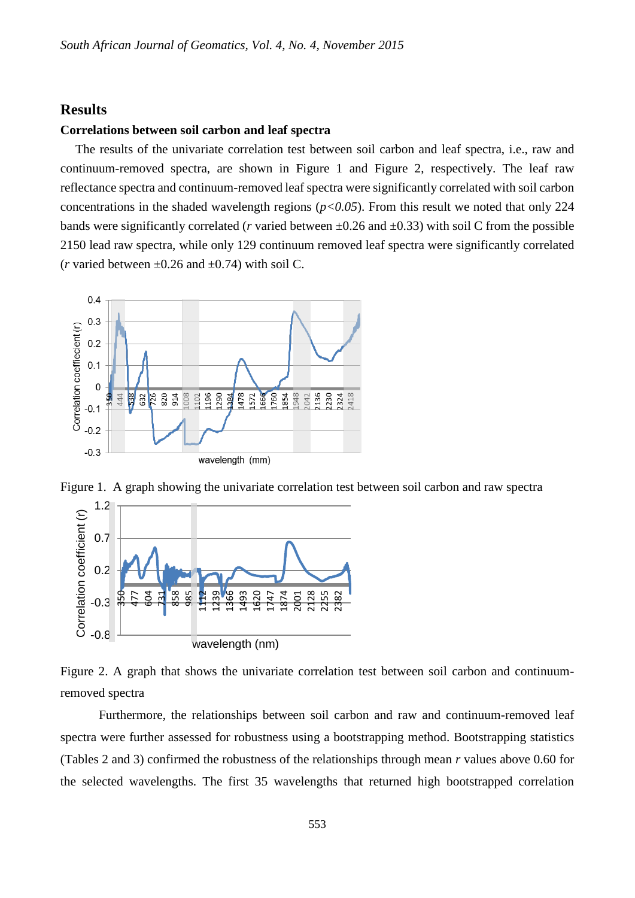# **Results**

#### **Correlations between soil carbon and leaf spectra**

The results of the univariate correlation test between soil carbon and leaf spectra, i.e., raw and continuum-removed spectra, are shown in Figure 1 and Figure 2, respectively. The leaf raw reflectance spectra and continuum-removed leaf spectra were significantly correlated with soil carbon concentrations in the shaded wavelength regions  $(p<0.05)$ . From this result we noted that only 224 bands were significantly correlated (*r* varied between  $\pm 0.26$  and  $\pm 0.33$ ) with soil C from the possible 2150 lead raw spectra, while only 129 continuum removed leaf spectra were significantly correlated (*r* varied between  $\pm 0.26$  and  $\pm 0.74$ ) with soil C.



Figure 1. A graph showing the univariate correlation test between soil carbon and raw spectra



Figure 2. A graph that shows the univariate correlation test between soil carbon and continuumremoved spectra

Furthermore, the relationships between soil carbon and raw and continuum-removed leaf spectra were further assessed for robustness using a bootstrapping method. Bootstrapping statistics (Tables 2 and 3) confirmed the robustness of the relationships through mean *r* values above 0.60 for the selected wavelengths. The first 35 wavelengths that returned high bootstrapped correlation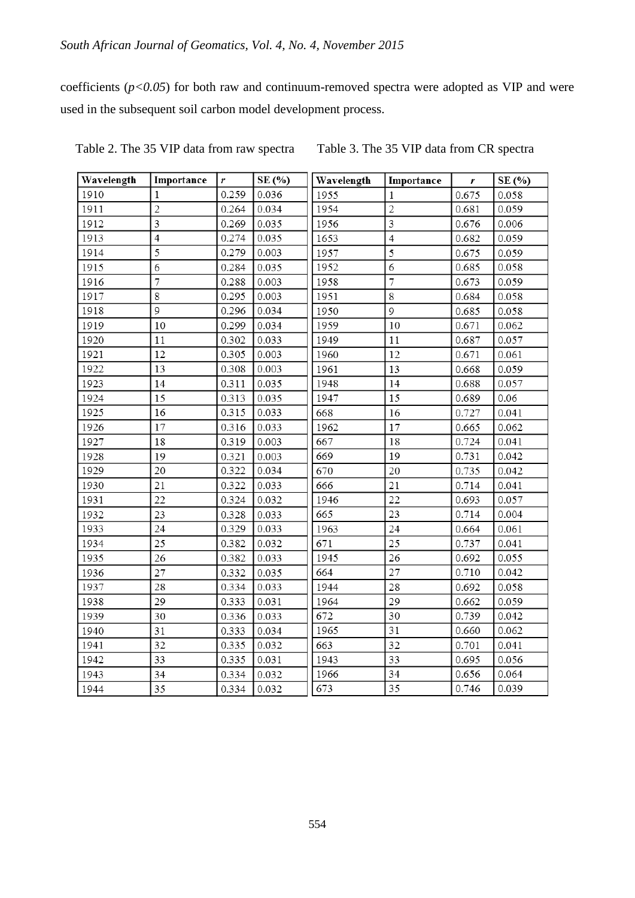coefficients (*p<0.05*) for both raw and continuum-removed spectra were adopted as VIP and were used in the subsequent soil carbon model development process.

| Wavelength | Importance     | r     | SE (%) | Wavelength | Importance     | r     | SE (%) |
|------------|----------------|-------|--------|------------|----------------|-------|--------|
| 1910       | 1              | 0.259 | 0.036  | 1955       | $\mathbf{1}$   | 0.675 | 0.058  |
| 1911       | $\overline{c}$ | 0.264 | 0.034  | 1954       | $\overline{2}$ | 0.681 | 0.059  |
| 1912       | 3              | 0.269 | 0.035  | 1956       | 3              | 0.676 | 0.006  |
| 1913       | $\overline{4}$ | 0.274 | 0.035  | 1653       | $\overline{4}$ | 0.682 | 0.059  |
| 1914       | 5              | 0.279 | 0.003  | 1957       | 5              | 0.675 | 0.059  |
| 1915       | 6              | 0.284 | 0.035  | 1952       | 6              | 0.685 | 0.058  |
| 1916       | $\overline{7}$ | 0.288 | 0.003  | 1958       | $\overline{7}$ | 0.673 | 0.059  |
| 1917       | 8              | 0.295 | 0.003  | 1951       | 8              | 0.684 | 0.058  |
| 1918       | 9              | 0.296 | 0.034  | 1950       | 9              | 0.685 | 0.058  |
| 1919       | 10             | 0.299 | 0.034  | 1959       | 10             | 0.671 | 0.062  |
| 1920       | 11             | 0.302 | 0.033  | 1949       | 11             | 0.687 | 0.057  |
| 1921       | 12             | 0.305 | 0.003  | 1960       | 12             | 0.671 | 0.061  |
| 1922       | 13             | 0.308 | 0.003  | 1961       | 13             | 0.668 | 0.059  |
| 1923       | 14             | 0.311 | 0.035  | 1948       | 14             | 0.688 | 0.057  |
| 1924       | 15             | 0.313 | 0.035  | 1947       | 15             | 0.689 | 0.06   |
| 1925       | 16             | 0.315 | 0.033  | 668        | 16             | 0.727 | 0.041  |
| 1926       | 17             | 0.316 | 0.033  | 1962       | 17             | 0.665 | 0.062  |
| 1927       | 18             | 0.319 | 0.003  | 667        | 18             | 0.724 | 0.041  |
| 1928       | 19             | 0.321 | 0.003  | 669        | 19             | 0.731 | 0.042  |
| 1929       | 20             | 0.322 | 0.034  | 670        | 20             | 0.735 | 0.042  |
| 1930       | 21             | 0.322 | 0.033  | 666        | 21             | 0.714 | 0.041  |
| 1931       | 22             | 0.324 | 0.032  | 1946       | 22             | 0.693 | 0.057  |
| 1932       | 23             | 0.328 | 0.033  | 665        | 23             | 0.714 | 0.004  |
| 1933       | 24             | 0.329 | 0.033  | 1963       | 24             | 0.664 | 0.061  |
| 1934       | 25             | 0.382 | 0.032  | 671        | 25             | 0.737 | 0.041  |
| 1935       | 26             | 0.382 | 0.033  | 1945       | 26             | 0.692 | 0.055  |
| 1936       | 27             | 0.332 | 0.035  | 664        | 27             | 0.710 | 0.042  |
| 1937       | 28             | 0.334 | 0.033  | 1944       | 28             | 0.692 | 0.058  |
| 1938       | 29             | 0.333 | 0.031  | 1964       | 29             | 0.662 | 0.059  |
| 1939       | 30             | 0.336 | 0.033  | 672        | 30             | 0.739 | 0.042  |
| 1940       | 31             | 0.333 | 0.034  | 1965       | 31             | 0.660 | 0.062  |
| 1941       | 32             | 0.335 | 0.032  | 663        | 32             | 0.701 | 0.041  |
| 1942       | 33             | 0.335 | 0.031  | 1943       | 33             | 0.695 | 0.056  |
| 1943       | 34             | 0.334 | 0.032  | 1966       | 34             | 0.656 | 0.064  |
| 1944       | 35             | 0.334 | 0.032  | 673        | 35             | 0.746 | 0.039  |

Table 2. The 35 VIP data from raw spectra Table 3. The 35 VIP data from CR spectra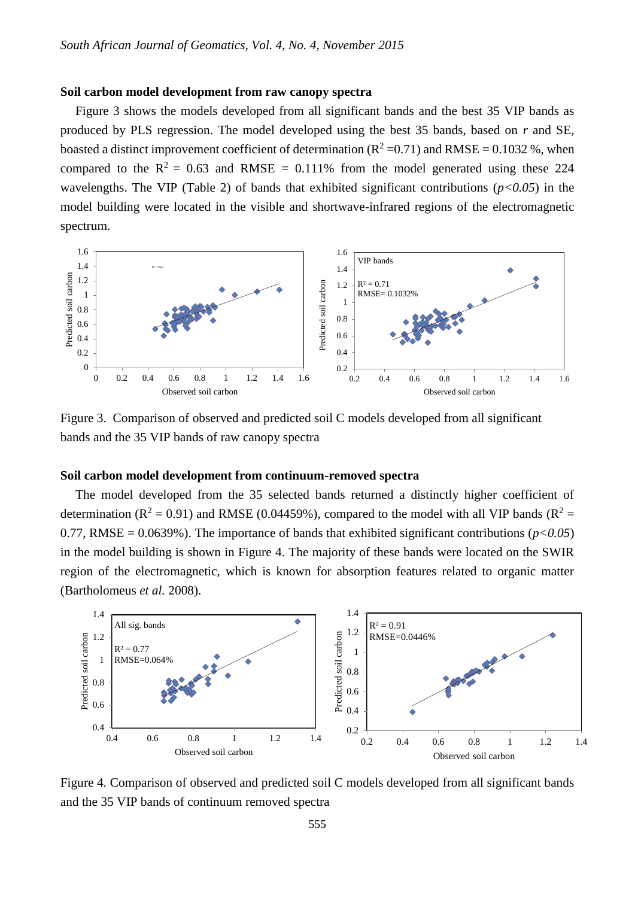### **Soil carbon model development from raw canopy spectra**

Figure 3 shows the models developed from all significant bands and the best 35 VIP bands as produced by PLS regression. The model developed using the best 35 bands, based on *r* and SE, boasted a distinct improvement coefficient of determination ( $R^2 = 0.71$ ) and RMSE = 0.1032 %, when compared to the  $R^2 = 0.63$  and RMSE = 0.111% from the model generated using these 224 wavelengths. The VIP (Table 2) of bands that exhibited significant contributions (*p<0.05*) in the model building were located in the visible and shortwave-infrared regions of the electromagnetic spectrum.



Figure 3. Comparison of observed and predicted soil C models developed from all significant bands and the 35 VIP bands of raw canopy spectra

#### **Soil carbon model development from continuum-removed spectra**

The model developed from the 35 selected bands returned a distinctly higher coefficient of determination ( $R^2 = 0.91$ ) and RMSE (0.04459%), compared to the model with all VIP bands ( $R^2 =$ 0.77, RMSE =  $0.0639\%$ ). The importance of bands that exhibited significant contributions ( $p < 0.05$ ) in the model building is shown in Figure 4. The majority of these bands were located on the SWIR region of the electromagnetic, which is known for absorption features related to organic matter (Bartholomeus *et al.* 2008).



Figure 4. Comparison of observed and predicted soil C models developed from all significant bands and the 35 VIP bands of continuum removed spectra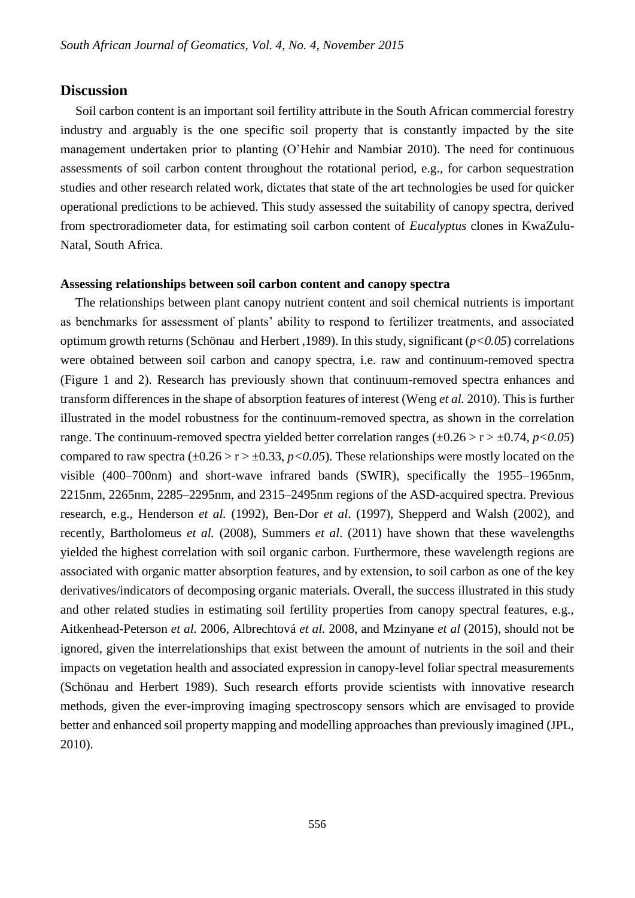# **Discussion**

Soil carbon content is an important soil fertility attribute in the South African commercial forestry industry and arguably is the one specific soil property that is constantly impacted by the site management undertaken prior to planting (O'Hehir and Nambiar 2010). The need for continuous assessments of soil carbon content throughout the rotational period, e.g., for carbon sequestration studies and other research related work, dictates that state of the art technologies be used for quicker operational predictions to be achieved. This study assessed the suitability of canopy spectra, derived from spectroradiometer data, for estimating soil carbon content of *Eucalyptus* clones in KwaZulu-Natal, South Africa.

#### **Assessing relationships between soil carbon content and canopy spectra**

The relationships between plant canopy nutrient content and soil chemical nutrients is important as benchmarks for assessment of plants' ability to respond to fertilizer treatments, and associated optimum growth returns (Schönau and Herbert ,1989). In this study, significant (*p<0.05*) correlations were obtained between soil carbon and canopy spectra, i.e. raw and continuum-removed spectra (Figure 1 and 2). Research has previously shown that continuum-removed spectra enhances and transform differences in the shape of absorption features of interest (Weng *et al.* 2010). This is further illustrated in the model robustness for the continuum-removed spectra, as shown in the correlation range. The continuum-removed spectra yielded better correlation ranges  $(\pm 0.26 > r > \pm 0.74, p < 0.05)$ compared to raw spectra ( $\pm 0.26 > r > \pm 0.33$ ,  $p < 0.05$ ). These relationships were mostly located on the visible (400–700nm) and short-wave infrared bands (SWIR), specifically the 1955–1965nm, 2215nm, 2265nm, 2285–2295nm, and 2315–2495nm regions of the ASD-acquired spectra. Previous research, e.g., Henderson *et al.* (1992), Ben-Dor *et al*. (1997), Shepperd and Walsh (2002), and recently, Bartholomeus *et al.* (2008), Summers *et al*. (2011) have shown that these wavelengths yielded the highest correlation with soil organic carbon. Furthermore, these wavelength regions are associated with organic matter absorption features, and by extension, to soil carbon as one of the key derivatives/indicators of decomposing organic materials. Overall, the success illustrated in this study and other related studies in estimating soil fertility properties from canopy spectral features, e.g., Aitkenhead-Peterson *et al.* 2006, Albrechtová *et al.* 2008, and Mzinyane *et al* (2015), should not be ignored, given the interrelationships that exist between the amount of nutrients in the soil and their impacts on vegetation health and associated expression in canopy-level foliar spectral measurements (Schönau and Herbert 1989). Such research efforts provide scientists with innovative research methods, given the ever-improving imaging spectroscopy sensors which are envisaged to provide better and enhanced soil property mapping and modelling approaches than previously imagined (JPL, 2010).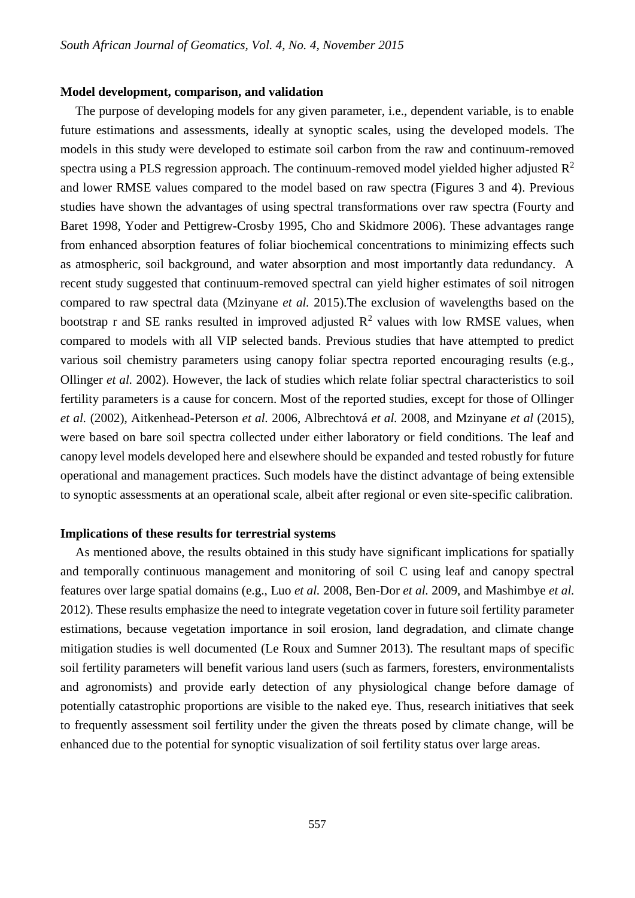#### **Model development, comparison, and validation**

The purpose of developing models for any given parameter, i.e., dependent variable, is to enable future estimations and assessments, ideally at synoptic scales, using the developed models. The models in this study were developed to estimate soil carbon from the raw and continuum-removed spectra using a PLS regression approach. The continuum-removed model yielded higher adjusted  $\mathbb{R}^2$ and lower RMSE values compared to the model based on raw spectra (Figures 3 and 4). Previous studies have shown the advantages of using spectral transformations over raw spectra (Fourty and Baret 1998, Yoder and Pettigrew-Crosby 1995, Cho and Skidmore 2006). These advantages range from enhanced absorption features of foliar biochemical concentrations to minimizing effects such as atmospheric, soil background, and water absorption and most importantly data redundancy. A recent study suggested that continuum-removed spectral can yield higher estimates of soil nitrogen compared to raw spectral data (Mzinyane *et al.* 2015).The exclusion of wavelengths based on the bootstrap r and SE ranks resulted in improved adjusted  $R^2$  values with low RMSE values, when compared to models with all VIP selected bands. Previous studies that have attempted to predict various soil chemistry parameters using canopy foliar spectra reported encouraging results (e.g., Ollinger *et al.* 2002). However, the lack of studies which relate foliar spectral characteristics to soil fertility parameters is a cause for concern. Most of the reported studies, except for those of Ollinger *et al.* (2002), Aitkenhead-Peterson *et al.* 2006, Albrechtová *et al.* 2008, and Mzinyane *et al* (2015), were based on bare soil spectra collected under either laboratory or field conditions. The leaf and canopy level models developed here and elsewhere should be expanded and tested robustly for future operational and management practices. Such models have the distinct advantage of being extensible to synoptic assessments at an operational scale, albeit after regional or even site-specific calibration.

#### **Implications of these results for terrestrial systems**

As mentioned above, the results obtained in this study have significant implications for spatially and temporally continuous management and monitoring of soil C using leaf and canopy spectral features over large spatial domains (e.g., Luo *et al.* 2008, Ben-Dor *et al.* 2009, and Mashimbye *et al.* 2012). These results emphasize the need to integrate vegetation cover in future soil fertility parameter estimations, because vegetation importance in soil erosion, land degradation, and climate change mitigation studies is well documented (Le Roux and Sumner 2013). The resultant maps of specific soil fertility parameters will benefit various land users (such as farmers, foresters, environmentalists and agronomists) and provide early detection of any physiological change before damage of potentially catastrophic proportions are visible to the naked eye. Thus, research initiatives that seek to frequently assessment soil fertility under the given the threats posed by climate change, will be enhanced due to the potential for synoptic visualization of soil fertility status over large areas.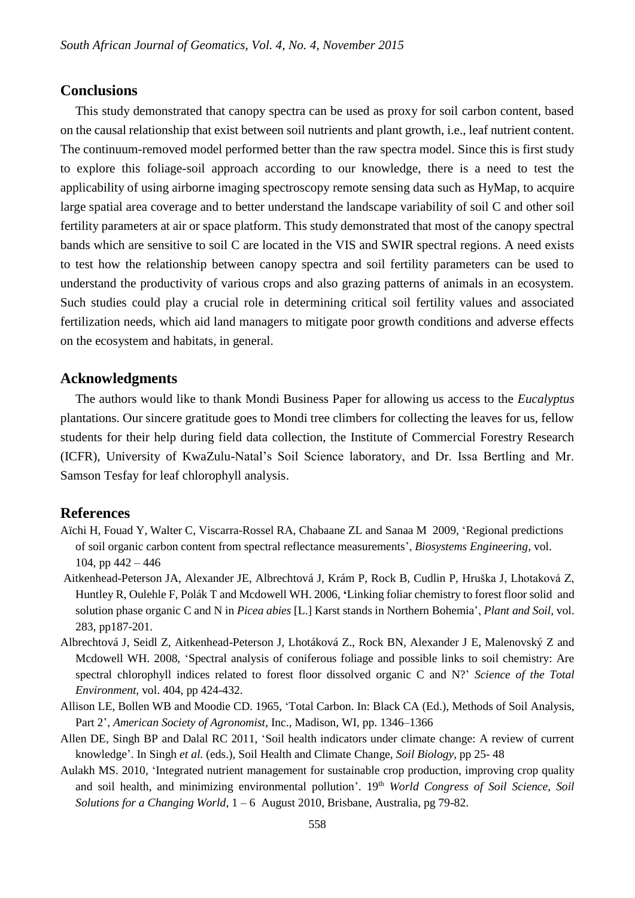# **Conclusions**

This study demonstrated that canopy spectra can be used as proxy for soil carbon content, based on the causal relationship that exist between soil nutrients and plant growth, i.e., leaf nutrient content. The continuum-removed model performed better than the raw spectra model. Since this is first study to explore this foliage-soil approach according to our knowledge, there is a need to test the applicability of using airborne imaging spectroscopy remote sensing data such as HyMap, to acquire large spatial area coverage and to better understand the landscape variability of soil C and other soil fertility parameters at air or space platform. This study demonstrated that most of the canopy spectral bands which are sensitive to soil C are located in the VIS and SWIR spectral regions. A need exists to test how the relationship between canopy spectra and soil fertility parameters can be used to understand the productivity of various crops and also grazing patterns of animals in an ecosystem. Such studies could play a crucial role in determining critical soil fertility values and associated fertilization needs, which aid land managers to mitigate poor growth conditions and adverse effects on the ecosystem and habitats, in general.

# **Acknowledgments**

The authors would like to thank Mondi Business Paper for allowing us access to the *Eucalyptus* plantations. Our sincere gratitude goes to Mondi tree climbers for collecting the leaves for us, fellow students for their help during field data collection, the Institute of Commercial Forestry Research (ICFR), University of KwaZulu-Natal's Soil Science laboratory, and Dr. Issa Bertling and Mr. Samson Tesfay for leaf chlorophyll analysis.

### **References**

- Aïchi H, Fouad Y, Walter C, Viscarra-Rossel RA, Chabaane ZL and Sanaa M 2009, 'Regional predictions of soil organic carbon content from spectral reflectance measurements', *Biosystems Engineering,* vol. 104, pp  $442 - 446$
- Aitkenhead-Peterson JA, Alexander JE, Albrechtová J, Krám P, Rock B, Cudlin P, Hruška J, Lhotaková Z, Huntley R, Oulehle F, Polák T and Mcdowell WH. 2006, **'**Linking foliar chemistry to forest floor solid and solution phase organic C and N in *Picea abies* [L.] Karst stands in Northern Bohemia', *Plant and Soil,* vol. 283, pp187-201.
- Albrechtová J, Seidl Z, Aitkenhead-Peterson J, Lhotáková Z., Rock BN, Alexander J E, Malenovský Z and Mcdowell WH. 2008, 'Spectral analysis of coniferous foliage and possible links to soil chemistry: Are spectral chlorophyll indices related to forest floor dissolved organic C and N?' *Science of the Total Environment,* vol. 404, pp 424-432.
- Allison LE, Bollen WB and Moodie CD. 1965, 'Total Carbon. In: Black CA (Ed.), Methods of Soil Analysis, Part 2', *American Society of Agronomist*, Inc., Madison, WI, pp. 1346–1366
- Allen DE, Singh BP and Dalal RC 2011, 'Soil health indicators under climate change: A review of current knowledge'. In Singh *et al.* (eds.), Soil Health and Climate Change, *Soil Biology,* pp 25- 48
- Aulakh MS. 2010, 'Integrated nutrient management for sustainable crop production, improving crop quality and soil health, and minimizing environmental pollution'. 19<sup>th</sup> *World Congress of Soil Science*, Soil *Solutions for a Changing World*, 1 – 6 August 2010, Brisbane, Australia, pg 79-82.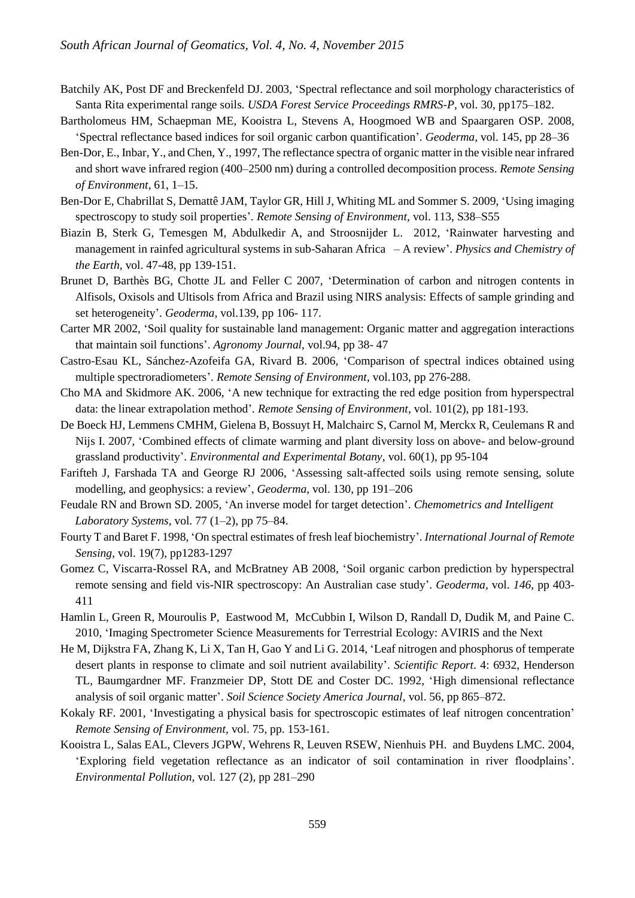- Batchily AK, Post DF and Breckenfeld DJ. 2003, 'Spectral reflectance and soil morphology characteristics of Santa Rita experimental range soils. *USDA Forest Service Proceedings RMRS-P*, vol. 30, pp175–182.
- Bartholomeus HM, Schaepman ME, Kooistra L, Stevens A, Hoogmoed WB and Spaargaren OSP. 2008, 'Spectral reflectance based indices for soil organic carbon quantification'. *Geoderma,* vol. 145, pp 28–36
- Ben-Dor, E., Inbar, Y., and Chen, Y., 1997, The reflectance spectra of organic matter in the visible near infrared and short wave infrared region (400–2500 nm) during a controlled decomposition process. *Remote Sensing of Environment*, 61, 1–15.
- Ben-Dor E, Chabrillat S, Demattê JAM, Taylor GR, Hill J, Whiting ML and Sommer S. 2009, 'Using imaging spectroscopy to study soil properties'*. Remote Sensing of Environment,* vol. 113, S38–S55
- Biazin B, Sterk G, Temesgen M, Abdulkedir A, and Stroosnijder L. 2012, 'Rainwater harvesting and management in rainfed agricultural systems in sub-Saharan Africa – A review'. *Physics and Chemistry of the Earth,* vol. 47-48, pp 139-151.
- Brunet D, Barthès BG, Chotte JL and Feller C 2007, 'Determination of carbon and nitrogen contents in Alfisols, Oxisols and Ultisols from Africa and Brazil using NIRS analysis: Effects of sample grinding and set heterogeneity'. *Geoderma,* vol.139, pp 106- 117.
- Carter MR 2002, 'Soil quality for sustainable land management: Organic matter and aggregation interactions that maintain soil functions'. *Agronomy Journal*, vol.94, pp 38- 47
- Castro-Esau KL, Sánchez-Azofeifa GA, Rivard B. 2006, 'Comparison of spectral indices obtained using multiple spectroradiometers'. *Remote Sensing of Environment*, vol.103, pp 276-288.
- Cho MA and Skidmore AK. 2006, 'A new technique for extracting the red edge position from hyperspectral data: the linear extrapolation method'*. Remote Sensing of Environment*, vol. 101(2), pp 181-193.
- De Boeck HJ, Lemmens CMHM, Gielena B, Bossuyt H, Malchairc S, Carnol M, Merckx R, Ceulemans R and Nijs I. 2007, 'Combined effects of climate warming and plant diversity loss on above- and below-ground grassland productivity'. *Environmental and Experimental Botany*, vol. 60(1), pp 95-104
- Farifteh J, Farshada TA and George RJ 2006, 'Assessing salt-affected soils using remote sensing, solute modelling, and geophysics: a review', *Geoderma*, vol. 130, pp 191–206
- Feudale RN and Brown SD. 2005, 'An inverse model for target detection'. *Chemometrics and Intelligent Laboratory Systems*, vol. 77 (1–2), pp 75–84.
- Fourty T and Baret F. 1998, 'On spectral estimates of fresh leaf biochemistry'. *International Journal of Remote Sensing*, vol. 19(7), pp1283-1297
- Gomez C, Viscarra-Rossel RA, and McBratney AB 2008, 'Soil organic carbon prediction by hyperspectral remote sensing and field vis-NIR spectroscopy: An Australian case study'. *Geoderma,* vol. *146*, pp 403- 411
- Hamlin L, Green R, Mouroulis P, Eastwood M, McCubbin I, Wilson D, Randall D, Dudik M, and Paine C. 2010, 'Imaging Spectrometer Science Measurements for Terrestrial Ecology: AVIRIS and the Next
- He M, Dijkstra FA, Zhang K, Li X, Tan H, Gao Y and Li G. 2014, 'Leaf nitrogen and phosphorus of temperate desert plants in response to climate and soil nutrient availability'. *Scientific Report*. 4: 6932, Henderson TL, Baumgardner MF. Franzmeier DP, Stott DE and Coster DC. 1992, 'High dimensional reflectance analysis of soil organic matter'. *Soil Science Society America Journal*, vol. 56, pp 865–872.
- Kokaly RF. 2001, 'Investigating a physical basis for spectroscopic estimates of leaf nitrogen concentration' *Remote Sensing of Environment,* vol. 75, pp. 153-161.
- Kooistra L, Salas EAL, Clevers JGPW, Wehrens R, Leuven RSEW, Nienhuis PH. and Buydens LMC. 2004, 'Exploring field vegetation reflectance as an indicator of soil contamination in river floodplains'. *Environmental Pollution,* vol. 127 (2), pp 281–290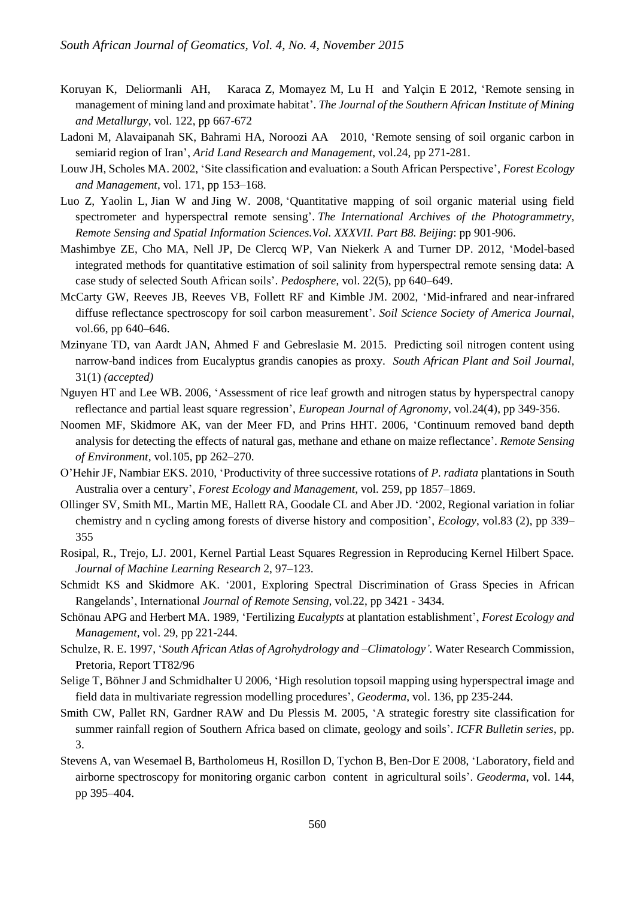- Koruyan K, Deliormanli AH, Karaca Z, Momayez M, Lu H and Yalçin E 2012, 'Remote sensing in management of mining land and proximate habitat'. *The Journal of the Southern African Institute of Mining and Metallurgy*, vol. 122, pp 667-672
- Ladoni M, Alavaipanah SK, Bahrami HA, Noroozi AA 2010, 'Remote sensing of soil organic carbon in semiarid region of Iran', *Arid Land Research and Management*, vol.24, pp 271-281.
- Louw JH, Scholes MA. 2002, 'Site classification and evaluation: a South African Perspective', *Forest Ecology and Management*, vol. 171, pp 153–168.
- Luo Z, Yaolin L, Jian W and Jing W. 2008, 'Quantitative mapping of soil organic material using field spectrometer and hyperspectral remote sensing'. *The International Archives of the Photogrammetry, Remote Sensing and Spatial Information Sciences.Vol. XXXVII. Part B8. Beijing*: pp 901-906.
- Mashimbye ZE, Cho MA, Nell JP, De Clercq WP, Van Niekerk A and Turner DP. 2012, 'Model-based integrated methods for quantitative estimation of soil salinity from hyperspectral remote sensing data: A case study of selected South African soils'. *Pedosphere*, vol. 22(5), pp 640–649.
- McCarty GW, Reeves JB, Reeves VB, Follett RF and Kimble JM. 2002, 'Mid-infrared and near-infrared diffuse reflectance spectroscopy for soil carbon measurement'. *Soil Science Society of America Journal*, vol.66, pp 640–646.
- Mzinyane TD, van Aardt JAN, Ahmed F and Gebreslasie M. 2015. Predicting soil nitrogen content using narrow-band indices from Eucalyptus grandis canopies as proxy. *South African Plant and Soil Journal,*  31(1) *(accepted)*
- Nguyen HT and Lee WB. 2006, 'Assessment of rice leaf growth and nitrogen status by hyperspectral canopy reflectance and partial least square regression', *European Journal of Agronomy*, vol.24(4), pp 349-356.
- Noomen MF, Skidmore AK, van der Meer FD, and Prins HHT. 2006, 'Continuum removed band depth analysis for detecting the effects of natural gas, methane and ethane on maize reflectance'. *Remote Sensing of Environment,* vol.105, pp 262–270.
- O'Hehir JF, Nambiar EKS. 2010, 'Productivity of three successive rotations of *P. radiata* plantations in South Australia over a century', *Forest Ecology and Management*, vol. 259, pp 1857–1869.
- Ollinger SV, Smith ML, Martin ME, Hallett RA, Goodale CL and Aber JD. '2002, Regional variation in foliar chemistry and n cycling among forests of diverse history and composition', *Ecology*, vol.83 (2), pp 339– 355
- Rosipal, R., Trejo, LJ. 2001, Kernel Partial Least Squares Regression in Reproducing Kernel Hilbert Space. *Journal of Machine Learning Research* 2, 97–123.
- Schmidt KS and Skidmore AK. '2001, Exploring Spectral Discrimination of Grass Species in African Rangelands', International *Journal of Remote Sensing,* vol.22, pp 3421 - 3434.
- Schönau APG and Herbert MA. 1989, 'Fertilizing *Eucalypts* at plantation establishment', *Forest Ecology and Management,* vol. 29, pp 221-244.
- Schulze, R. E. 1997, '*South African Atlas of Agrohydrology and –Climatology'.* Water Research Commission, Pretoria, Report TT82/96
- Selige T, Böhner J and Schmidhalter U 2006, 'High resolution topsoil mapping using hyperspectral image and field data in multivariate regression modelling procedures', *Geoderma*, vol. 136, pp 235-244.
- Smith CW, Pallet RN, Gardner RAW and Du Plessis M. 2005, 'A strategic forestry site classification for summer rainfall region of Southern Africa based on climate, geology and soils'. *ICFR Bulletin series*, pp. 3.
- Stevens A, van Wesemael B, Bartholomeus H, Rosillon D, Tychon B, Ben-Dor E 2008, 'Laboratory, field and airborne spectroscopy for monitoring organic carbon content in agricultural soils'. *Geoderma*, vol. 144, pp 395–404.